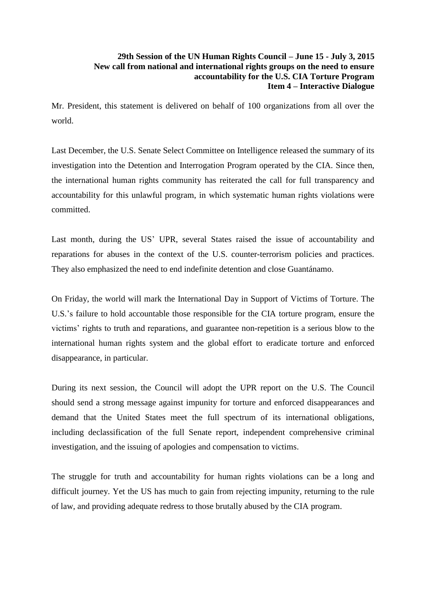## **29th Session of the UN Human Rights Council – June 15 - July 3, 2015 New call from national and international rights groups on the need to ensure accountability for the U.S. CIA Torture Program Item 4 – Interactive Dialogue**

Mr. President, this statement is delivered on behalf of 100 organizations from all over the world.

Last December, the U.S. Senate Select Committee on Intelligence released the summary of its investigation into the Detention and Interrogation Program operated by the CIA. Since then, the international human rights community has reiterated the call for full transparency and accountability for this unlawful program, in which systematic human rights violations were committed.

Last month, during the US' UPR, several States raised the issue of accountability and reparations for abuses in the context of the U.S. counter-terrorism policies and practices. They also emphasized the need to end indefinite detention and close Guantánamo.

On Friday, the world will mark the International Day in Support of Victims of Torture. The U.S.'s failure to hold accountable those responsible for the CIA torture program, ensure the victims' rights to truth and reparations, and guarantee non-repetition is a serious blow to the international human rights system and the global effort to eradicate torture and enforced disappearance, in particular.

During its next session, the Council will adopt the UPR report on the U.S. The Council should send a strong message against impunity for torture and enforced disappearances and demand that the United States meet the full spectrum of its international obligations, including declassification of the full Senate report, independent comprehensive criminal investigation, and the issuing of apologies and compensation to victims.

The struggle for truth and accountability for human rights violations can be a long and difficult journey. Yet the US has much to gain from rejecting impunity, returning to the rule of law, and providing adequate redress to those brutally abused by the CIA program.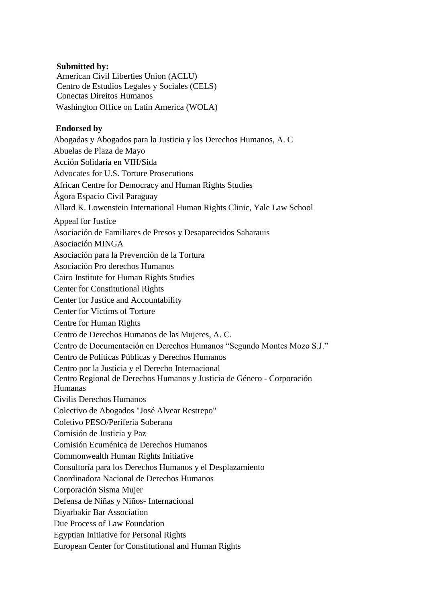## **Submitted by:**

American Civil Liberties Union (ACLU) Centro de Estudios Legales y Sociales (CELS) Conectas Direitos Humanos Washington Office on Latin America (WOLA)

## **Endorsed by**

Abogadas y Abogados para la Justicia y los Derechos Humanos, A. C Abuelas de Plaza de Mayo Acción Solidaria en VIH/Sida Advocates for U.S. Torture Prosecutions African Centre for Democracy and Human Rights Studies Ágora Espacio Civil Paraguay Allard K. Lowenstein International Human Rights Clinic, Yale Law School Appeal for Justice Asociación de Familiares de Presos y Desaparecidos Saharauis Asociación MINGA Asociación para la Prevención de la Tortura Asociación Pro derechos Humanos Cairo Institute for Human Rights Studies Center for Constitutional Rights Center for Justice and Accountability Center for Victims of Torture Centre for Human Rights Centro de Derechos Humanos de las Mujeres, A. C. Centro de Documentación en Derechos Humanos "Segundo Montes Mozo S.J." Centro de Políticas Públicas y Derechos Humanos Centro por la Justicia y el Derecho Internacional Centro Regional de Derechos Humanos y Justicia de Género - Corporación Humanas Civilis Derechos Humanos Colectivo de Abogados "José Alvear Restrepo" Coletivo PESO/Periferia Soberana Comisión de Justicia y Paz Comisión Ecuménica de Derechos Humanos Commonwealth Human Rights Initiative Consultoría para los Derechos Humanos y el Desplazamiento Coordinadora Nacional de Derechos Humanos Corporación Sisma Mujer Defensa de Niñas y Niños- Internacional Diyarbakir Bar Association Due Process of Law Foundation Egyptian Initiative for Personal Rights European Center for Constitutional and Human Rights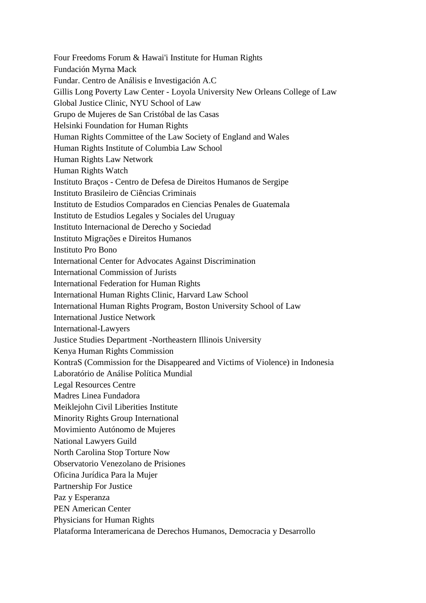Four Freedoms Forum & Hawai'i Institute for Human Rights Fundación Myrna Mack Fundar. Centro de Análisis e Investigación A.C Gillis Long Poverty Law Center - Loyola University New Orleans College of Law Global Justice Clinic, NYU School of Law Grupo de Mujeres de San Cristóbal de las Casas Helsinki Foundation for Human Rights Human Rights Committee of the Law Society of England and Wales Human Rights Institute of Columbia Law School Human Rights Law Network Human Rights Watch Instituto Braços - Centro de Defesa de Direitos Humanos de Sergipe Instituto Brasileiro de Ciências Criminais Instituto de Estudios Comparados en Ciencias Penales de Guatemala Instituto de Estudios Legales y Sociales del Uruguay Instituto Internacional de Derecho y Sociedad Instituto Migrações e Direitos Humanos Instituto Pro Bono International Center for Advocates Against Discrimination International Commission of Jurists International Federation for Human Rights International Human Rights Clinic, Harvard Law School International Human Rights Program, Boston University School of Law International Justice Network International-Lawyers Justice Studies Department -Northeastern Illinois University Kenya Human Rights Commission KontraS (Commission for the Disappeared and Victims of Violence) in Indonesia Laboratório de Análise Política Mundial Legal Resources Centre Madres Linea Fundadora Meiklejohn Civil Liberities Institute Minority Rights Group International Movimiento Autónomo de Mujeres National Lawyers Guild North Carolina Stop Torture Now Observatorio Venezolano de Prisiones Oficina Jurídica Para la Mujer Partnership For Justice Paz y Esperanza PEN American Center Physicians for Human Rights Plataforma Interamericana de Derechos Humanos, Democracia y Desarrollo